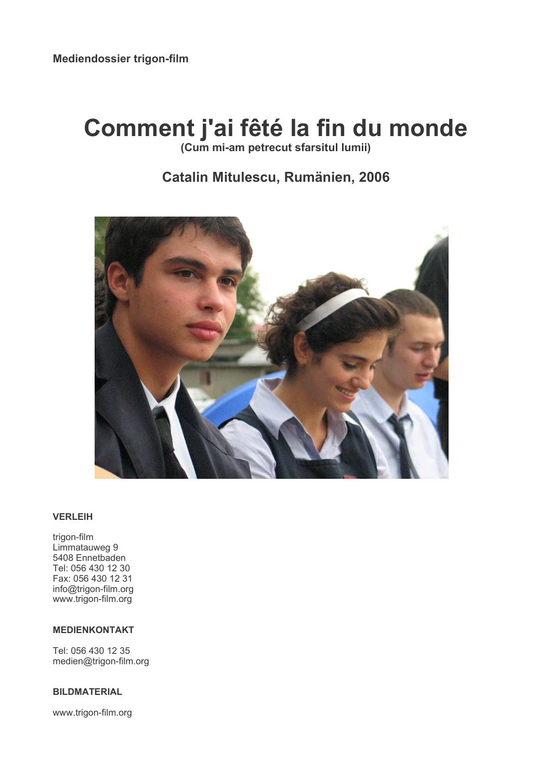# Comment j'ai fêté la fin du monde

(Cum mi-am petrecut sfarsitul lumii)

# Catalin Mitulescu, Rumänien, 2006



# **VERLEIH**

trigon-film Limmatauweg 9 5408 Ennetbaden Tel: 056 430 12 30 Fax: 056 430 12 31 info@trigon-film.org www.trigon-film.org

#### **MEDIENKONTAKT**

Tel: 056 430 12 35 medien@trigon-film.org

#### **BILDMATERIAL**

www.trigon-film.org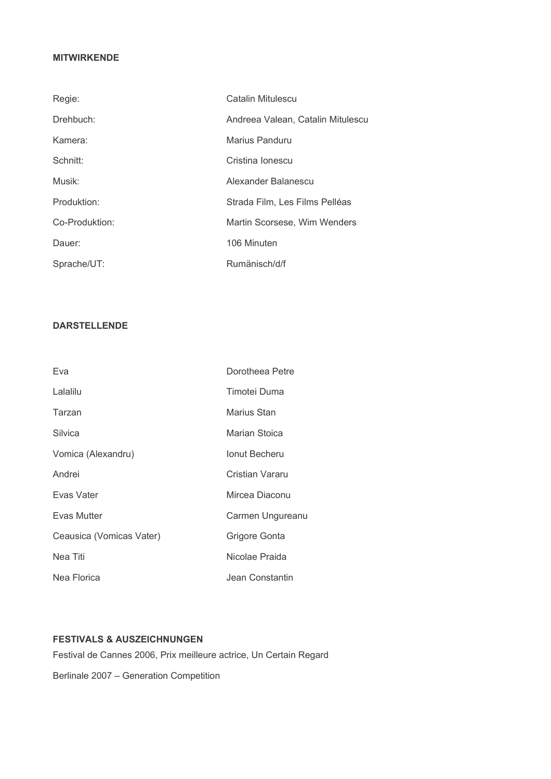# **MITWIRKENDE**

| Regie:         | Catalin Mitulescu                 |
|----------------|-----------------------------------|
| Drehbuch:      | Andreea Valean, Catalin Mitulescu |
| Kamera:        | Marius Panduru                    |
| Schnitt:       | Cristina Ionescu                  |
| Musik:         | Alexander Balanescu               |
| Produktion:    | Strada Film, Les Films Pelléas    |
| Co-Produktion: | Martin Scorsese, Wim Wenders      |
| Dauer:         | 106 Minuten                       |
| Sprache/UT:    | Rumänisch/d/f                     |

# **DARSTELLENDE**

| Eva                      | Dorotheea Petre      |
|--------------------------|----------------------|
| Lalalilu                 | Timotei Duma         |
| Tarzan                   | Marius Stan          |
| Silvica                  | Marian Stoica        |
| Vomica (Alexandru)       | <b>Ionut Becheru</b> |
| Andrei                   | Cristian Vararu      |
| Evas Vater               | Mircea Diaconu       |
| Evas Mutter              | Carmen Ungureanu     |
| Ceausica (Vomicas Vater) | Grigore Gonta        |
| Nea Titi                 | Nicolae Praida       |
| Nea Florica              | Jean Constantin      |

# **FESTIVALS & AUSZEICHNUNGEN**

Festival de Cannes 2006, Prix meilleure actrice, Un Certain Regard

Berlinale 2007 - Generation Competition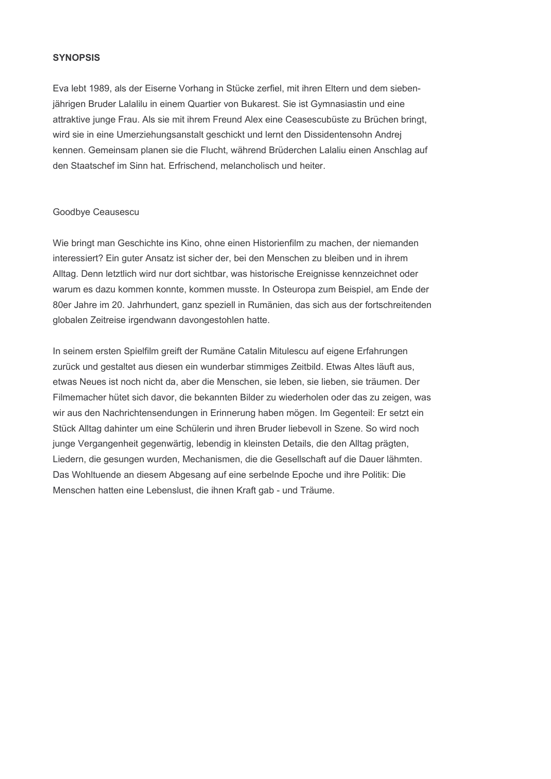#### **SYNOPSIS**

Eva lebt 1989, als der Eiserne Vorhang in Stücke zerfiel, mit ihren Eltern und dem siebenjährigen Bruder Lalalilu in einem Quartier von Bukarest. Sie ist Gymnasiastin und eine attraktive junge Frau. Als sie mit ihrem Freund Alex eine Ceasescubüste zu Brüchen bringt. wird sie in eine Umerziehungsanstalt geschickt und lernt den Dissidentensohn Andrej kennen. Gemeinsam planen sie die Flucht, während Brüderchen Lalaliu einen Anschlag auf den Staatschef im Sinn hat. Erfrischend, melancholisch und heiter.

#### Goodbye Ceausescu

Wie bringt man Geschichte ins Kino, ohne einen Historienfilm zu machen, der niemanden interessiert? Ein guter Ansatz ist sicher der, bei den Menschen zu bleiben und in ihrem Alltag. Denn letztlich wird nur dort sichtbar, was historische Ereignisse kennzeichnet oder warum es dazu kommen konnte, kommen musste. In Osteuropa zum Beispiel, am Ende der 80er Jahre im 20. Jahrhundert, ganz speziell in Rumänien, das sich aus der fortschreitenden globalen Zeitreise irgendwann davongestohlen hatte.

In seinem ersten Spielfilm greift der Rumäne Catalin Mitulescu auf eigene Erfahrungen zurück und gestaltet aus diesen ein wunderbar stimmiges Zeitbild. Etwas Altes läuft aus, etwas Neues ist noch nicht da, aber die Menschen, sie leben, sie lieben, sie träumen. Der Filmemacher hütet sich davor, die bekannten Bilder zu wiederholen oder das zu zeigen, was wir aus den Nachrichtensendungen in Erinnerung haben mögen. Im Gegenteil: Er setzt ein Stück Alltag dahinter um eine Schülerin und ihren Bruder liebevoll in Szene. So wird noch junge Vergangenheit gegenwärtig, lebendig in kleinsten Details, die den Alltag prägten, Liedern, die gesungen wurden, Mechanismen, die die Gesellschaft auf die Dauer lähmten. Das Wohltuende an diesem Abgesang auf eine serbelnde Epoche und ihre Politik: Die Menschen hatten eine Lebenslust, die ihnen Kraft gab - und Träume.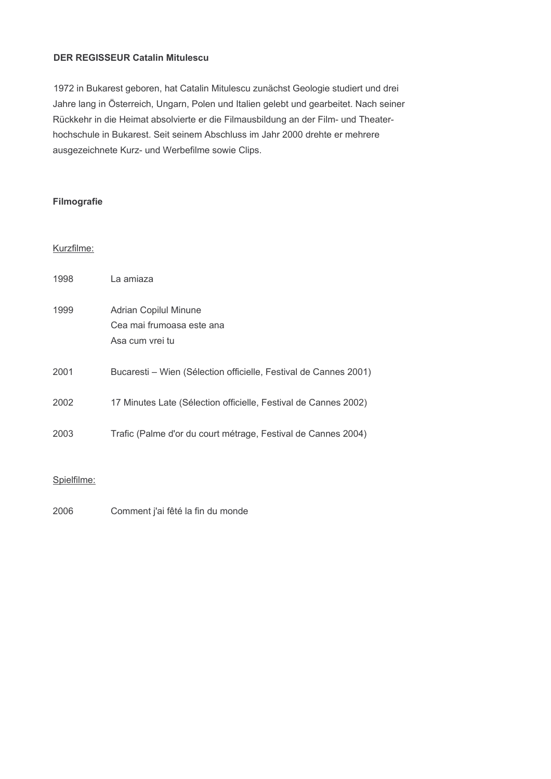# **DER REGISSEUR Catalin Mitulescu**

1972 in Bukarest geboren, hat Catalin Mitulescu zunächst Geologie studiert und drei Jahre lang in Österreich, Ungarn, Polen und Italien gelebt und gearbeitet. Nach seiner Rückkehr in die Heimat absolvierte er die Filmausbildung an der Film- und Theaterhochschule in Bukarest. Seit seinem Abschluss im Jahr 2000 drehte er mehrere ausgezeichnete Kurz- und Werbefilme sowie Clips.

# **Filmografie**

# Kurzfilme:

| 1998 | La amiaza                                                                    |
|------|------------------------------------------------------------------------------|
| 1999 | <b>Adrian Copilul Minune</b><br>Cea mai frumoasa este ana<br>Asa cum vrei tu |
| 2001 | Bucaresti – Wien (Sélection officielle, Festival de Cannes 2001)             |
| 2002 | 17 Minutes Late (Sélection officielle, Festival de Cannes 2002)              |
| 2003 | Trafic (Palme d'or du court métrage, Festival de Cannes 2004)                |

# Spielfilme:

2006 Comment j'ai fêté la fin du monde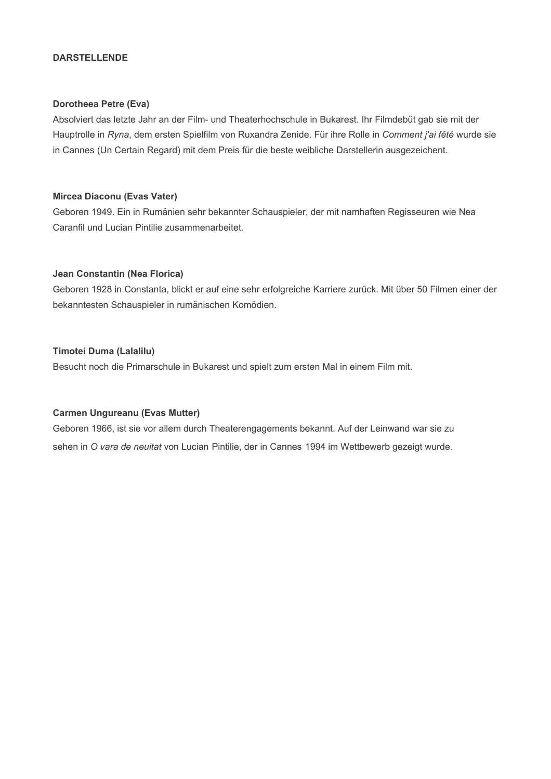#### **DARSTELLENDE**

#### Dorotheea Petre (Eva)

Absolviert das letzte Jahr an der Film- und Theaterhochschule in Bukarest. Ihr Filmdebüt gab sie mit der Hauptrolle in Ryna, dem ersten Spielfilm von Ruxandra Zenide. Für ihre Rolle in Comment j'ai fêté wurde sie in Cannes (Un Certain Regard) mit dem Preis für die beste weibliche Darstellerin ausgezeichent.

#### Mircea Diaconu (Evas Vater)

Geboren 1949. Ein in Rumänien sehr bekannter Schauspieler, der mit namhaften Regisseuren wie Nea Caranfil und Lucian Pintilie zusammenarbeitet.

#### Jean Constantin (Nea Florica)

Geboren 1928 in Constanta, blickt er auf eine sehr erfolgreiche Karriere zurück. Mit über 50 Filmen einer der bekanntesten Schauspieler in rumänischen Komödien.

# **Timotei Duma (Lalalilu)**

Besucht noch die Primarschule in Bukarest und spielt zum ersten Mal in einem Film mit.

# **Carmen Ungureanu (Evas Mutter)**

Geboren 1966, ist sie vor allem durch Theaterengagements bekannt. Auf der Leinwand war sie zu sehen in O vara de neuitat von Lucian Pintilie, der in Cannes 1994 im Wettbewerb gezeigt wurde.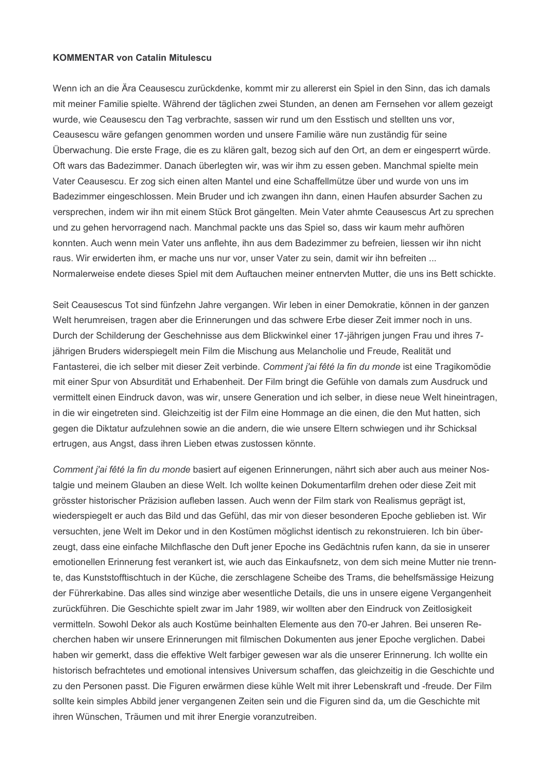#### **KOMMENTAR von Catalin Mitulescu**

Wenn ich an die Ära Ceausescu zurückdenke, kommt mir zu allererst ein Spiel in den Sinn, das ich damals mit meiner Familie spielte. Während der täglichen zwei Stunden, an denen am Fernsehen vor allem gezeigt wurde, wie Ceausescu den Tag verbrachte, sassen wir rund um den Esstisch und stellten uns vor. Ceausescu wäre gefangen genommen worden und unsere Familie wäre nun zuständig für seine Überwachung. Die erste Frage, die es zu klären galt, bezog sich auf den Ort, an dem er eingesperrt würde. Oft wars das Badezimmer. Danach überlegten wir, was wir ihm zu essen geben. Manchmal spielte mein Vater Ceausescu. Er zog sich einen alten Mantel und eine Schaffellmütze über und wurde von uns im Badezimmer eingeschlossen. Mein Bruder und ich zwangen ihn dann, einen Haufen absurder Sachen zu versprechen, indem wir ihn mit einem Stück Brot gängelten. Mein Vater ahmte Ceausescus Art zu sprechen und zu gehen hervorragend nach. Manchmal packte uns das Spiel so, dass wir kaum mehr aufhören konnten. Auch wenn mein Vater uns anflehte, ihn aus dem Badezimmer zu befreien, liessen wir ihn nicht raus. Wir erwiderten ihm, er mache uns nur vor, unser Vater zu sein, damit wir ihn befreiten ... Normalerweise endete dieses Spiel mit dem Auftauchen meiner entnervten Mutter, die uns ins Bett schickte.

Seit Ceausescus Tot sind fünfzehn Jahre vergangen. Wir leben in einer Demokratie, können in der ganzen Welt herumreisen, tragen aber die Erinnerungen und das schwere Erbe dieser Zeit immer noch in uns. Durch der Schilderung der Geschehnisse aus dem Blickwinkel einer 17-jährigen jungen Frau und ihres 7jährigen Bruders widerspiegelt mein Film die Mischung aus Melancholie und Freude, Realität und Fantasterei, die ich selber mit dieser Zeit verbinde. Comment j'ai fêté la fin du monde ist eine Tragikomödie mit einer Spur von Absurdität und Erhabenheit. Der Film bringt die Gefühle von damals zum Ausdruck und vermittelt einen Eindruck davon, was wir, unsere Generation und ich selber, in diese neue Welt hineintragen, in die wir eingetreten sind. Gleichzeitig ist der Film eine Hommage an die einen, die den Mut hatten, sich gegen die Diktatur aufzulehnen sowie an die andern, die wie unsere Eltern schwiegen und ihr Schicksal ertrugen, aus Angst, dass ihren Lieben etwas zustossen könnte.

Comment j'ai fêté la fin du monde basiert auf eigenen Erinnerungen, nährt sich aber auch aus meiner Nostalgie und meinem Glauben an diese Welt. Ich wollte keinen Dokumentarfilm drehen oder diese Zeit mit grösster historischer Präzision aufleben lassen. Auch wenn der Film stark von Realismus geprägt ist, wiederspiegelt er auch das Bild und das Gefühl, das mir von dieser besonderen Epoche geblieben ist. Wir versuchten, jene Welt im Dekor und in den Kostümen möglichst identisch zu rekonstruieren. Ich bin überzeugt, dass eine einfache Milchflasche den Duft jener Epoche ins Gedächtnis rufen kann, da sie in unserer emotionellen Erinnerung fest verankert ist, wie auch das Einkaufsnetz, von dem sich meine Mutter nie trennte, das Kunststofftischtuch in der Küche, die zerschlagene Scheibe des Trams, die behelfsmässige Heizung der Führerkabine. Das alles sind winzige aber wesentliche Details, die uns in unsere eigene Vergangenheit zurückführen. Die Geschichte spielt zwar im Jahr 1989, wir wollten aber den Eindruck von Zeitlosigkeit vermitteln. Sowohl Dekor als auch Kostüme beinhalten Elemente aus den 70-er Jahren. Bei unseren Recherchen haben wir unsere Erinnerungen mit filmischen Dokumenten aus jener Epoche verglichen. Dabei haben wir gemerkt, dass die effektive Welt farbiger gewesen war als die unserer Erinnerung. Ich wollte ein historisch befrachtetes und emotional intensives Universum schaffen, das gleichzeitig in die Geschichte und zu den Personen passt. Die Figuren erwärmen diese kühle Welt mit ihrer Lebenskraft und -freude. Der Film sollte kein simples Abbild jener vergangenen Zeiten sein und die Figuren sind da, um die Geschichte mit ihren Wünschen, Träumen und mit ihrer Energie voranzutreiben.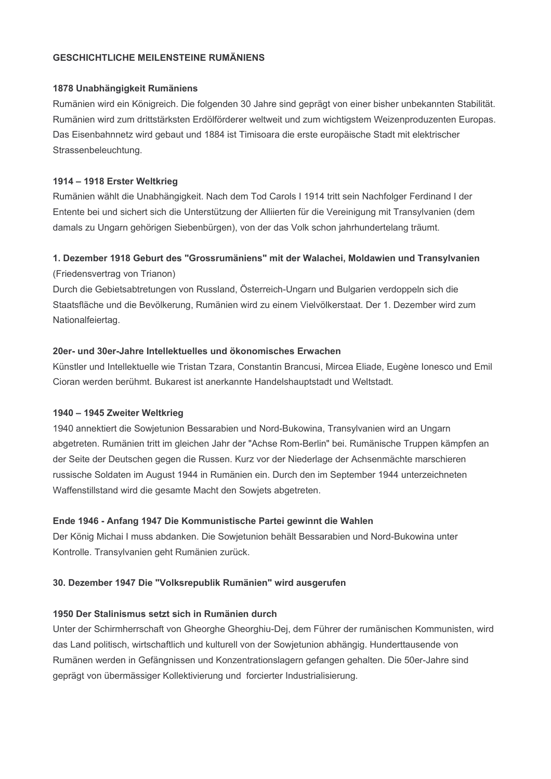# **GESCHICHTLICHE MEILENSTEINE RUMÄNIENS**

#### 1878 Unabhängigkeit Rumäniens

Rumänien wird ein Königreich. Die folgenden 30 Jahre sind geprägt von einer bisher unbekannten Stabilität. Rumänien wird zum drittstärksten Erdölförderer weltweit und zum wichtigstem Weizenproduzenten Europas. Das Eisenbahnnetz wird gebaut und 1884 ist Timisoara die erste europäische Stadt mit elektrischer Strassenbeleuchtung.

#### 1914 - 1918 Erster Weltkrieg

Rumänien wählt die Unabhängigkeit. Nach dem Tod Carols I 1914 tritt sein Nachfolger Ferdinand I der Entente bei und sichert sich die Unterstützung der Alliierten für die Vereinigung mit Transylvanien (dem damals zu Ungarn gehörigen Siebenbürgen), von der das Volk schon jahrhundertelang träumt.

# 1. Dezember 1918 Geburt des "Grossrumäniens" mit der Walachei, Moldawien und Transylvanien

(Friedensvertrag von Trianon)

Durch die Gebietsabtretungen von Russland, Österreich-Ungarn und Bulgarien verdoppeln sich die Staatsfläche und die Bevölkerung, Rumänien wird zu einem Vielvölkerstaat. Der 1. Dezember wird zum Nationalfeiertag.

# 20er- und 30er-Jahre Intellektuelles und ökonomisches Erwachen

Künstler und Intellektuelle wie Tristan Tzara, Constantin Brancusi, Mircea Eliade, Eugène Ionesco und Emil Cioran werden berühmt. Bukarest ist anerkannte Handelshauptstadt und Weltstadt.

# 1940 - 1945 Zweiter Weltkrieg

1940 annektiert die Sowjetunion Bessarabien und Nord-Bukowina, Transylvanien wird an Ungarn abgetreten. Rumänien tritt im gleichen Jahr der "Achse Rom-Berlin" bei. Rumänische Truppen kämpfen an der Seite der Deutschen gegen die Russen. Kurz vor der Niederlage der Achsenmächte marschieren russische Soldaten im August 1944 in Rumänien ein. Durch den im September 1944 unterzeichneten Waffenstillstand wird die gesamte Macht den Sowjets abgetreten.

# Ende 1946 - Anfang 1947 Die Kommunistische Partei gewinnt die Wahlen

Der König Michai I muss abdanken. Die Sowjetunion behält Bessarabien und Nord-Bukowina unter Kontrolle. Transylvanien geht Rumänien zurück.

# 30. Dezember 1947 Die "Volksrepublik Rumänien" wird ausgerufen

# 1950 Der Stalinismus setzt sich in Rumänien durch

Unter der Schirmherrschaft von Gheorghe Gheorghiu-Dej, dem Führer der rumänischen Kommunisten, wird das Land politisch, wirtschaftlich und kulturell von der Sowjetunion abhängig. Hunderttausende von Rumänen werden in Gefängnissen und Konzentrationslagern gefangen gehalten. Die 50er-Jahre sind geprägt von übermässiger Kollektivierung und forcierter Industrialisierung.